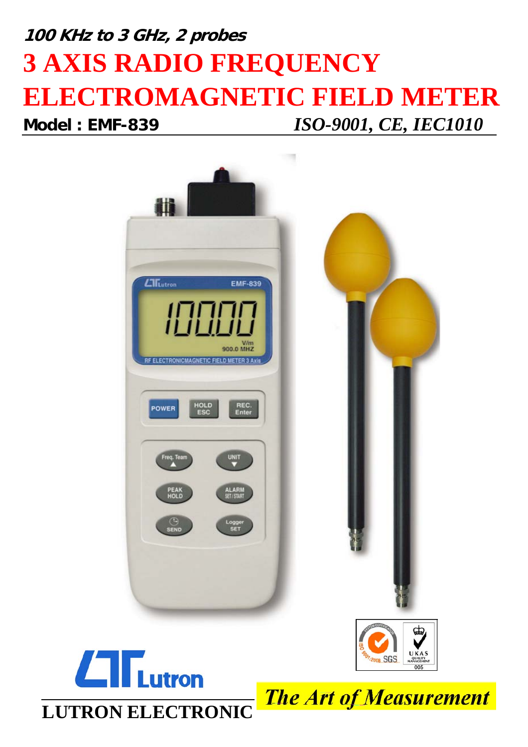# **100 KHz to 3 GHz, 2 probes 3 AXIS RADIO FREQUENCY ELECTROMAGNETIC FIELD METER Model : EMF-839** *ISO-9001, CE, IEC1010*







**The Art of Measurement**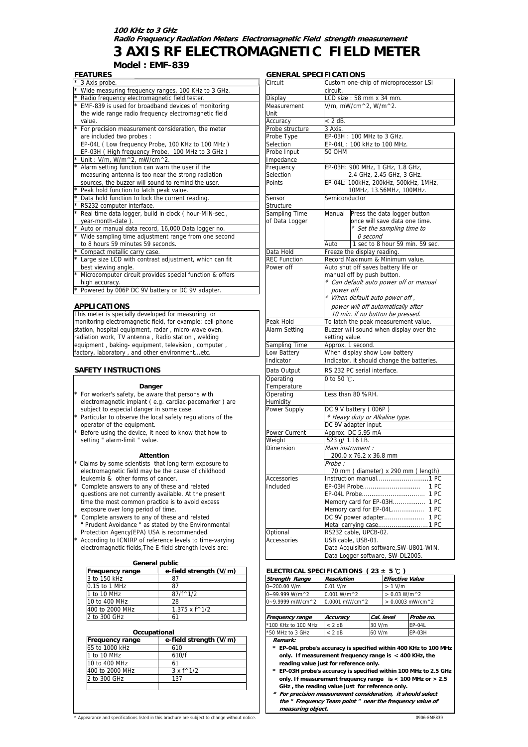#### **100 KHz to 3 GHz Radio Frequency Radiation Meters Electromagnetic Field strength measurement**

### **3 AXIS RF ELECTROMAGNETIC FIELD METER**

**Model : EMF-839**

| FEAIURES                                                 |                     | GENERAL SPECIFICATIONS                  |  |  |  |
|----------------------------------------------------------|---------------------|-----------------------------------------|--|--|--|
| 3 Axis probe.                                            | Circuit             | Custom one-chip of microprocessor LSI   |  |  |  |
| Wide measuring frequency ranges, 100 KHz to 3 GHz.       |                     | circuit.                                |  |  |  |
| Radio frequency electromagnetic field tester.            | Display             | $LCD size: 58 mm \times 34 mm.$         |  |  |  |
| EMF-839 is used for broadband devices of monitoring      | Measurement         | V/m, mW/cm^2, W/m^2.                    |  |  |  |
| the wide range radio frequency electromagnetic field     | Unit                |                                         |  |  |  |
| value.                                                   | Accuracy            | $< 2$ dB.                               |  |  |  |
| For precision measurement consideration, the meter       | Probe structure     | 3 Axis.                                 |  |  |  |
| are included two probes :                                | Probe Type          | EP-03H: 100 MHz to 3 GHz.               |  |  |  |
| EP-04L (Low frequency Probe, 100 KHz to 100 MHz)         | Selection           | EP-04L: 100 kHz to 100 MHz.             |  |  |  |
| EP-03H (High frequency Probe, 100 MHz to 3 GHz)          | Probe Input         | <b>50 OHM</b>                           |  |  |  |
| Unit: $V/m$ , $W/m^2$ , mW/cm <sup>2</sup> .             | Impedance           |                                         |  |  |  |
| Alarm setting function can warn the user if the          | Frequency           | EP-03H: 900 MHz, 1 GHz, 1.8 GHz,        |  |  |  |
| measuring antenna is too near the strong radiation       | Selection           | 2.4 GHz, 2.45 GHz, 3 GHz.               |  |  |  |
| sources, the buzzer will sound to remind the user.       | <b>Points</b>       | EP-04L: 100kHz, 200kHz, 500kHz, 1MHz,   |  |  |  |
| Peak hold function to latch peak value.                  |                     | 10MHz, 13.56MHz, 100MHz.                |  |  |  |
| Data hold function to lock the current reading.          | Sensor              | Semiconductor                           |  |  |  |
| RS232 computer interface.                                | Structure           |                                         |  |  |  |
| Real time data logger, build in clock ( hour-MIN-sec.,   | Sampling Time       | Manual<br>Press the data logger button  |  |  |  |
| vear-month-date)                                         | of Data Logger      | once will save data one time.           |  |  |  |
| Auto or manual data record, 16,000 Data logger no.       |                     | * Set the sampling time to              |  |  |  |
| Wide sampling time adjustment range from one second      |                     | $O$ second                              |  |  |  |
| to 8 hours 59 minutes 59 seconds.                        |                     | 1 sec to 8 hour 59 min. 59 sec.<br>Auto |  |  |  |
| Compact metallic carry case.                             | Data Hold           | Freeze the display reading.             |  |  |  |
| Large size LCD with contrast adjustment, which can fit   | <b>REC Function</b> | Record Maximum & Minimum value.         |  |  |  |
| best viewing angle.                                      | Power off           | Auto shut off saves battery life or     |  |  |  |
| Microcomputer circuit provides special function & offers |                     | manual off by push button.              |  |  |  |
| high accuracy.                                           |                     | * Can default auto power off or manual  |  |  |  |
| Powered by 006P DC 9V battery or DC 9V adapter.          |                     | power off.                              |  |  |  |
|                                                          |                     | * When default auto power off,          |  |  |  |

#### **APPLICATIONS**

#### **SAFETY INSTRUCTIONS**

#### **Danger**

- For worker's safety, be aware that persons with
- electromagnetic implant ( e.g. cardiac-pacemarker ) are subject to especial danger in some case. Particular to observe the local safety regulations of the
- operator of the equipment.
- Before using the device, it need to know that how to setting " alarm-limit " value.

#### **Attention**

- Claims by some scientists that long term exposure to electromagnetic field may be the cause of childhood leukemia & other forms of cancer.
- Complete answers to any of these and related questions are not currently available. At the present time the most common practice is to avoid excess
- exposure over long period of time. Complete answers to any of these and related
- " Prudent Avoidance " as stated by the Environmental Protection Agency(EPA) USA is recommended.
- According to ICNIRP of reference levels to time-varying electromagnetic fields, The E-field strength levels are:

#### **General public**

| <b>Frequency range</b> | e-field strenath (V/m) | ELECTRICAL SPECIFICATIONS (23 $\pm$ 5 °C)        |                       |            |                                              |       |
|------------------------|------------------------|--------------------------------------------------|-----------------------|------------|----------------------------------------------|-------|
| 3 to 150 kHz           | 87                     | <b>Strength Range</b>                            | <b>Resolution</b>     |            | <b>Effective Value</b>                       |       |
| 0.15 to 1 MHz          | 87                     | $0 - 200.00$ V/m                                 | $0.01$ V/m            |            | $> 1$ V/m                                    |       |
| 1 to 10 MHz            | $87/f^{\wedge}1/2$     | $0 - 99.999$ W/m <sup><math>\wedge</math>2</sup> | $0.001 W/m \text{^2}$ |            | $> 0.03$ W/m <sup><math>\wedge</math>2</sup> |       |
| 10 to 400 MHz          | 28                     | $0 - 9.9999$ mW/cm^2                             | 0.0001 mW/cm^2        |            | $> 0.0003$ mW/cr                             |       |
| 400 to 2000 MHz        | $1.375 \times f^{4}/2$ |                                                  |                       |            |                                              |       |
| 2 to 300 GHz           | 61                     | <b>Frequency range</b>                           | Accuracv              | Cal. level |                                              | Probe |
|                        |                        |                                                  |                       |            |                                              |       |

| Occupational    |                           |  | *50 MHz to |
|-----------------|---------------------------|--|------------|
| Frequency range | e-field strength (V/m)    |  | Remark:    |
| 65 to 1000 kHz  | 610                       |  | * EP-04    |
| 1 to 10 MHz     | 610/f                     |  | only.      |
| 10 to 400 MHz   | 61                        |  | readir     |
| 400 to 2000 MHz | $3 \times f^{\wedge} 1/2$ |  | * EP-03    |
| 2 to 300 GHz    | 137                       |  | only.      |
|                 |                           |  | GHz.       |

#### **GENERAL SPECIFICATIONS**

| <u>3 Axis probe.</u>                                      | Circuit             | Custom one-chip of microprocessor LSI      |  |  |
|-----------------------------------------------------------|---------------------|--------------------------------------------|--|--|
| Wide measuring frequency ranges, 100 KHz to 3 GHz.        |                     | circuit.                                   |  |  |
| Radio frequency electromagnetic field tester.             | Display             | LCD size: 58 mm x 34 mm.                   |  |  |
| EMF-839 is used for broadband devices of monitoring       | Measurement         | V/m, mW/cm^2, W/m^2.                       |  |  |
| the wide range radio frequency electromagnetic field      | Unit                |                                            |  |  |
| value.                                                    | Accuracy            | < 2 dB.                                    |  |  |
| For precision measurement consideration, the meter        | Probe structure     | 3 Axis.                                    |  |  |
| are included two probes:                                  | Probe Type          | EP-03H: 100 MHz to 3 GHz.                  |  |  |
| EP-04L (Low frequency Probe, 100 KHz to 100 MHz)          | Selection           | EP-04L: 100 kHz to 100 MHz.                |  |  |
| EP-03H (High frequency Probe, 100 MHz to 3 GHz)           | Probe Input         | 50 OHM                                     |  |  |
| Unit: V/m, W/m^2, mW/cm^2.                                | Impedance           |                                            |  |  |
| Alarm setting function can warn the user if the           | Frequency           | EP-03H: 900 MHz, 1 GHz, 1.8 GHz,           |  |  |
| measuring antenna is too near the strong radiation        | Selection           | 2.4 GHz, 2.45 GHz, 3 GHz.                  |  |  |
| sources, the buzzer will sound to remind the user.        | Points              | EP-04L: 100kHz, 200kHz, 500kHz, 1MHz,      |  |  |
| Peak hold function to latch peak value.                   |                     | 10MHz, 13.56MHz, 100MHz.                   |  |  |
| Data hold function to lock the current reading.           | Sensor              | Semiconductor                              |  |  |
| RS232 computer interface.                                 | Structure           |                                            |  |  |
| Real time data logger, build in clock (hour-MIN-sec.,     | Sampling Time       | Manual<br>Press the data logger button     |  |  |
| year-month-date).                                         | of Data Logger      | once will save data one time.              |  |  |
| Auto or manual data record, 16,000 Data logger no.        |                     | * Set the sampling time to                 |  |  |
| Wide sampling time adjustment range from one second       |                     | 0 second                                   |  |  |
| to 8 hours 59 minutes 59 seconds.                         |                     | 1 sec to 8 hour 59 min. 59 sec.<br>Auto    |  |  |
| Compact metallic carry case.                              | Data Hold           | Freeze the display reading.                |  |  |
| Large size LCD with contrast adjustment, which can fit    | <b>REC Function</b> | Record Maximum & Minimum value.            |  |  |
| best viewing angle.                                       | Power off           | Auto shut off saves battery life or        |  |  |
| Microcomputer circuit provides special function & offers  |                     | manual off by push button.                 |  |  |
| high accuracy.                                            |                     | * Can default auto power off or manual     |  |  |
| Powered by 006P DC 9V battery or DC 9V adapter.           |                     | power off.                                 |  |  |
|                                                           |                     | * When default auto power off,             |  |  |
| <b>PPLICATIONS</b>                                        |                     | power will off automatically after         |  |  |
| is meter is specially developed for measuring or          |                     | 10 min. if no button be pressed.           |  |  |
| onitoring electromagnetic field, for example: cell-phone  | Peak Hold           | To latch the peak measurement value.       |  |  |
| ation, hospital equipment, radar, micro-wave oven,        | Alarm Setting       | Buzzer will sound when display over the    |  |  |
| diation work, TV antenna, Radio station, welding          |                     | setting value.                             |  |  |
| uipment, baking- equipment, television, computer,         | Sampling Time       | Approx. 1 second.                          |  |  |
| ctory, laboratory, and other environmentetc.              | Low Battery         | When display show Low battery              |  |  |
|                                                           | Indicator           | Indicator, it should change the batteries. |  |  |
|                                                           |                     |                                            |  |  |
| <b>\FETY INSTRUCTIONS</b>                                 | Data Output         | RS 232 PC serial interface.                |  |  |
|                                                           | Operating           | 0 to 50 $\degree$ C.                       |  |  |
| Danger                                                    | Temperature         |                                            |  |  |
| For worker's safety, be aware that persons with           | Operating           | Less than 80 %RH.                          |  |  |
| electromagnetic implant (e.g. cardiac-pacemarker) are     | Humidity            |                                            |  |  |
| subject to especial danger in some case.                  | Power Supply        | DC 9 V battery (006P)                      |  |  |
| Particular to observe the local safety regulations of the |                     | * Heavy duty or Alkaline type.             |  |  |
| operator of the equipment.                                |                     | DC 9V adapter input.                       |  |  |
| Before using the device, it need to know that how to      | Power Current       | Approx. DC 5.95 mA                         |  |  |
| setting " alarm-limit " value.                            | Weight              | 523 g/ 1.16 LB.                            |  |  |
|                                                           | Dimension           | Main instrument :                          |  |  |
| <b>Attention</b>                                          |                     | 200.0 x 76.2 x 36.8 mm                     |  |  |
| Claims by some scientists that long term exposure to      |                     | Probe :                                    |  |  |
| electromagnetic field may be the cause of childhood       |                     | 70 mm (diameter) x 290 mm (length)         |  |  |
| leukemia & other forms of cancer.                         | Accessories         |                                            |  |  |
| Complete answers to any of these and related              | Included            |                                            |  |  |
| questions are not currently available. At the present     |                     |                                            |  |  |
| time the most common practice is to avoid excess          |                     | Memory card for EP-03H 1 PC                |  |  |
| exposure over long period of time.                        |                     | Memory card for EP-04L 1 PC                |  |  |
| Complete answers to any of these and related              |                     |                                            |  |  |
| " Prudent Avoidance " as stated by the Environmental      |                     |                                            |  |  |
| Protection Agency(EPA) USA is recommended.                | Optional            | RS232 cable, UPCB-02.                      |  |  |
| According to ICNIRP of reference levels to time-varying   | Accessories         | USB cable, USB-01.                         |  |  |
| electromagnetic fields, The E-field strength levels are:  |                     | Data Acquisition software, SW-U801-WIN.    |  |  |
|                                                           |                     | Data Logger software, SW-DL2005.           |  |  |

#### **FIECTRICAL SPECIFICATIONS (23 ± 5 ℃)**

| .               | $C-11C1Q3C1C1Q11C1V7D117$ | . <i>.</i>                                       |                   |            |                                                  |               |  |
|-----------------|---------------------------|--------------------------------------------------|-------------------|------------|--------------------------------------------------|---------------|--|
| 3 to 150 kHz    | 87                        | <b>Strength Range</b>                            | <b>Resolution</b> |            | <b>Effective Value</b>                           |               |  |
| 0.15 to 1 MHz   | 87                        | 0~200.00 V/m                                     | $0.01$ V/m        |            | $> 1$ V/m                                        |               |  |
| 1 to 10 MHz     | $87/f^{\wedge}1/2$        | $0 - 99.999$ W/m <sup><math>\wedge</math>2</sup> | $0.001 W/m^2$     |            | > 0.03 W/m <sup>2</sup>                          |               |  |
| 10 to 400 MHz   | 28                        | $0 - 9.9999$ mW/cm $^{2}$                        | 0.0001 mW/cm^2    |            | $> 0.0003$ mW/cm <sup><math>\wedge</math>2</sup> |               |  |
| 400 to 2000 MHz | $1.375 \times f^{4}/2$    |                                                  |                   |            |                                                  |               |  |
| 2 to 300 GHz    |                           | <b>Frequency range</b>                           | Accuracy          | Cal. level |                                                  | Probe no.     |  |
|                 |                           | *100 KHz to 100 MHz                              | $<$ 2 dB          | 30 V/m     |                                                  | EP-04L        |  |
| Occupational    |                           | *50 MHz to 3 GHz                                 | $< 2$ dB          | 60 V/m     |                                                  | <b>EP-03H</b> |  |
|                 | .<br>__ _ _               |                                                  |                   |            |                                                  |               |  |

- 
- 65 to 1000 kHz 610 **\* EP-04L probe's accuracy is specified within 400 KHz to 100 MHz** only. If measurement frequency range is < 400 KHz, the 10 to 400 MHz 61 **reading value just for reference only.**
- \* EP-03H probe's accuracy is specified within 100 MHz to 2.5 GHz only. If measurement frequency range is < 100 MHz or > 2.5 **GHz , the reading value just for reference only.**
- **\* For precision measurement consideration, it should select the " Frequency Team point " near the frequency value of measuring object.**

Appearance and specifications listed in this brochure are subject to change without notice. 0906-EMF839 0906-EMF839